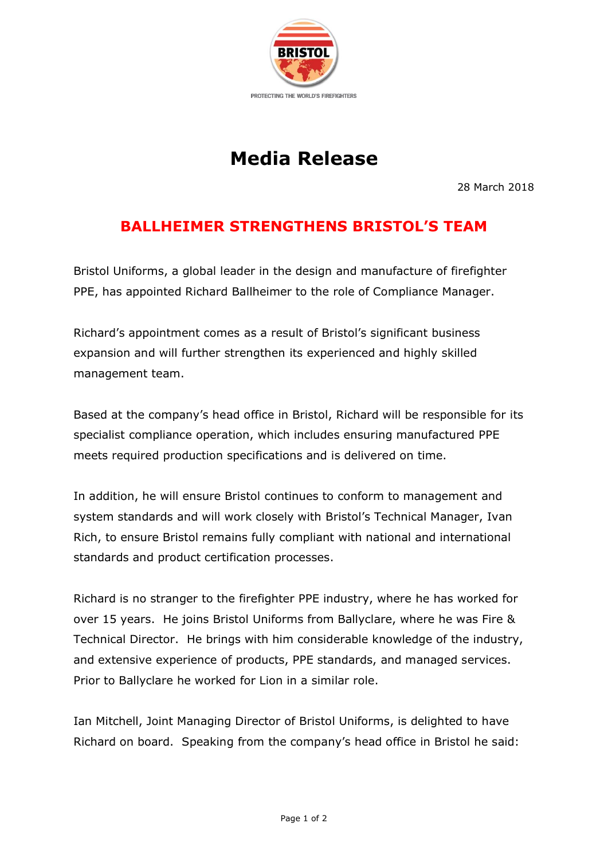

## **Media Release**

28 March 2018

## **BALLHEIMER STRENGTHENS BRISTOL'S TEAM**

Bristol Uniforms, a global leader in the design and manufacture of firefighter PPE, has appointed Richard Ballheimer to the role of Compliance Manager.

Richard's appointment comes as a result of Bristol's significant business expansion and will further strengthen its experienced and highly skilled management team.

Based at the company's head office in Bristol, Richard will be responsible for its specialist compliance operation, which includes ensuring manufactured PPE meets required production specifications and is delivered on time.

In addition, he will ensure Bristol continues to conform to management and system standards and will work closely with Bristol's Technical Manager, Ivan Rich, to ensure Bristol remains fully compliant with national and international standards and product certification processes.

Richard is no stranger to the firefighter PPE industry, where he has worked for over 15 years. He joins Bristol Uniforms from Ballyclare, where he was Fire & Technical Director. He brings with him considerable knowledge of the industry, and extensive experience of products, PPE standards, and managed services. Prior to Ballyclare he worked for Lion in a similar role.

Ian Mitchell, Joint Managing Director of Bristol Uniforms, is delighted to have Richard on board. Speaking from the company's head office in Bristol he said: